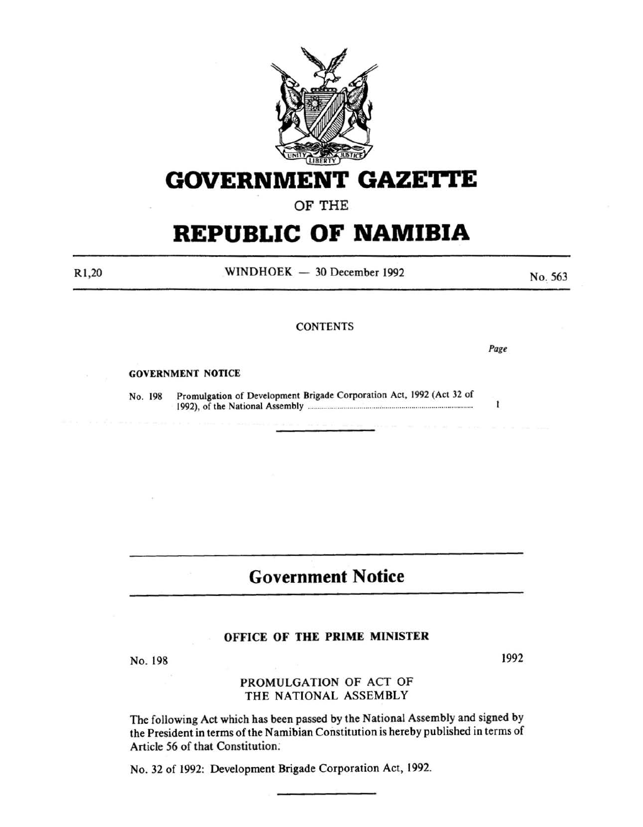

# **GOVERNMENT GAZETTE**

## OF THE

# **REPUBLIC OF NAMIBIA**

 $WINDHOEK - 30 December 1992$ 

No. 563

#### **CONTENTS**

Page

 $\mathbf{I}$ 

#### GOVERNMENT NOTICE

No. 198 Promulgation of Development Brigade Corporation Act, 1992 (Act 32 of 1992), of the National Assembly .................................................................................. .

# **Government Notice**

#### OFFICE OF THE PRIME MINISTER

No. 198

## PROMULGATION OF ACT OF THE NATIONAL ASSEMBLY

The following Act which has been passed by the National Assembly and signed by the President in terms of the Namibian Constitution is hereby published in terms of Article 56 of that Constitution:

No. 32 of 1992: Development Brigade Corporation Act, 1992.

1992

Rl ,20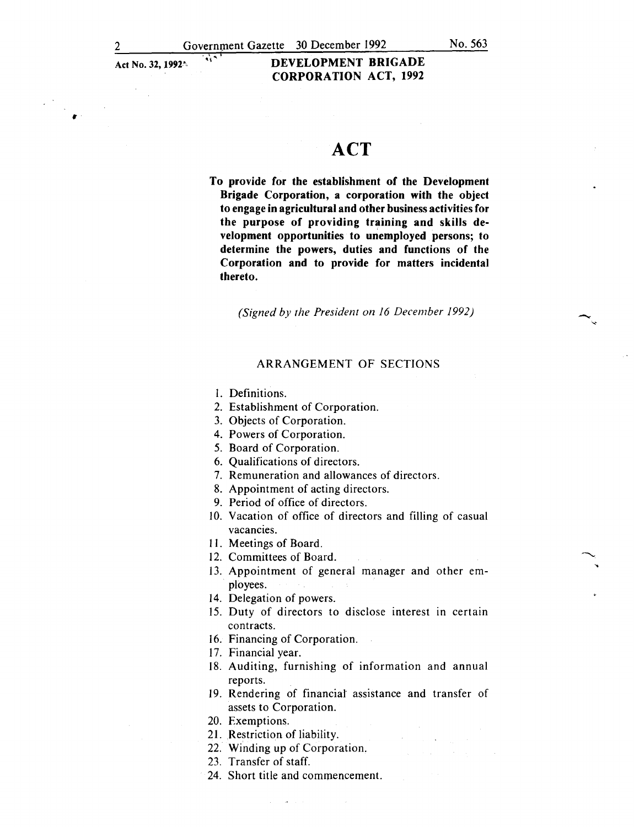Act No. 32, 1992<sup>4</sup>.

### 1" **DEVELOPMENT BRIGADE CORPORATION ACT, 1992**

# **ACT**

**To provide for the establishment of the Development Brigade Corporation, a corporation with the object to engage in agricultural and other business activities for the purpose of providing training and skills development opportunities to unemployed persons; to determine the powers, duties and functions of the Corporation and to provide for matters incidental thereto.** 

*(Signed by the President on 16 December 1992)* 

#### ARRANGEMENT OF SECTIONS

- I. Definitions.
- 2. Establishment of Corporation.
- 3. Objects of Corporation.
- 4. Powers of Corporation.
- 5. Board of Corporation.
- 6. Qualifications of directors.
- 7. Remuneration and allowances of directors.
- 8. Appointment of acting directors.
- 9. Period of office of directors.
- IO. Vacation of office of directors and filling of casual vacancies.
- 11. Meetings of Board.
- 12. Committees of Board.
- 13. Appointment of general manager and other employees.
- 14. Delegation of powers.
- 15. Duty of directors to disclose interest in certain contracts.
- 16. Financing of Corporation.
- 17. Financial year.
- 18. Auditing, furnishing of information and annual reports.
- 19. Rendering of financial assistance and transfer of assets to Corporation.
- 20. Exemptions.
- 21. Restriction of liability.
- 22. Winding up of Corporation.
- 23. Transfer of staff.
- 24. Short title and commencement.

No. 563

 $\ddot{\phantom{1}}$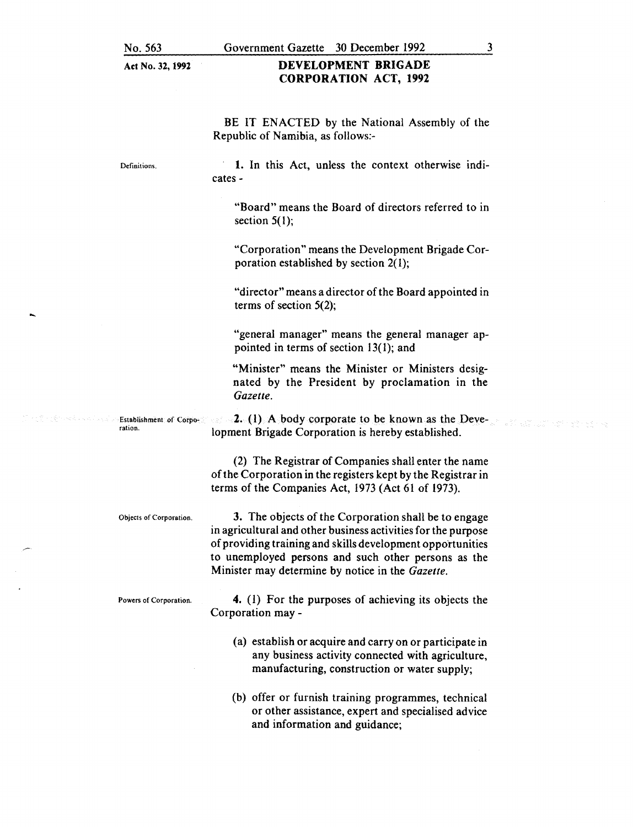Definitions.

Act No. 32, 1992

### DEVELOPMENT BRIGADE CORPORATION ACT, 1992

BE IT ENACTED by the National Assembly of the Republic of Namibia, as follows:-

1. In this Act, unless the context otherwise indicates-

"Board" means the Board of directors referred to in section  $5(1)$ :

"Corporation" means the Development Brigade Corporation established by section  $2(1)$ ;

"director" means a director of the Board appointed in terms of section 5(2);

"general manager" means the general manager appointed in terms of section  $13(1)$ ; and

"Minister" means the Minister or Ministers designated by the President by proclamation in the *Gazette.* 

Establishment of Corpo-2. (1) A body corporate to be known as the Development Brigade Corporation is hereby established.

> (2) The Registrar of Companies shall enter the name of the Corporation in the registers kept by the Registrar in terms of the Companies Act, 1973 (Act 61 of 1973).

ration.

Objects of Corporation. 3. The objects of the Corporation shall be to engage in agricultural and other business activities for the purpose of providing training and skills development opportunities to unemployed persons and such other persons as the Minister may determine by notice in the *Gazette.* 

Powers of Corporation. 4. (1) For the purposes of achieving its objects the Corporation may -

- (a) establish or acquire and carry on or participate in any business activity connected with agriculture, manufacturing, construction or water supply;
- (b) offer or furnish training programmes, technical or other assistance, expert and specialised advice and information and guidance;

3

 $\label{eq:12} \left\langle \psi_{\alpha} \right\rangle \left\langle \psi_{\alpha}^{\rm NLO} \right\rangle = \left\langle \psi_{\alpha} \right\rangle \left\langle \psi_{\alpha}^{\rm NLO} \right\rangle = \left\langle \psi_{\alpha} \right\rangle \left\langle \psi_{\alpha}^{\rm NLO} \right\rangle$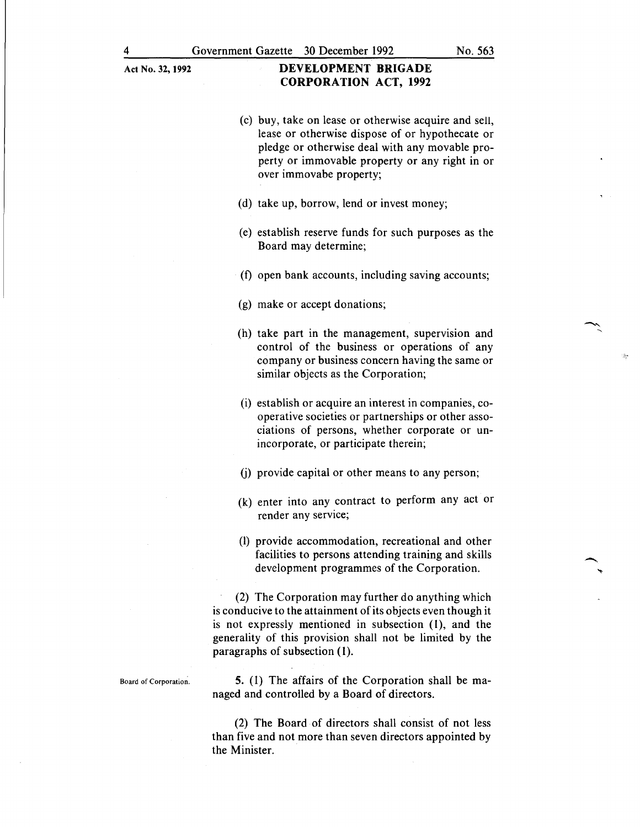#### **DEVELOPMENT BRIGADE CORPORATION ACT, 1992**

- (c) buy, take on lease or otherwise acquire and sell, lease or otherwise dispose of or hypothecate or pledge or otherwise deal with any movable property or immovable property or any right in or over immovabe property;
- (d) take up, borrow, lend or invest money;
- (e) establish reserve funds for such purposes as the Board may determine;
- (f) open bank accounts, including saving accounts;
- (g) make or accept donations;
- (h) take part in the management, supervision and control of the business or operations of any company or business concern having the same or similar objects as the Corporation;
- (i) establish or acquire an interest in companies, cooperative societies or partnerships or other associations of persons, whether corporate or unincorporate, or participate therein;
- U) provide capital or other means to any person;
- (k) enter into any contract to perform any act or render any service;
- (1) provide accommodation, recreational and other facilities to persons attending training and skills development programmes of the Corporation.

(2) The Corporation may further do anything which is conducive to the attainment of its objects even though it is not expressly mentioned in subsection (1), and the generality of this provision shall not be limited by the paragraphs of subsection (1).

Board of Corporation.

**5. (1)** The affairs of the Corporation shall be managed and controlled by a Board of directors.

(2) The Board of directors shall consist of not less than five and not more than seven directors appointed by the Minister.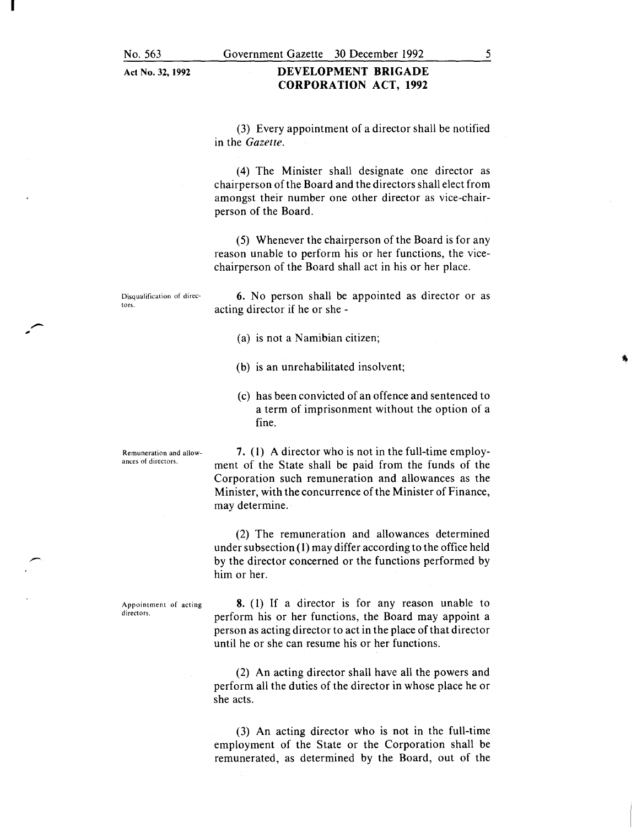I

Act No. 32, **1992** 

#### **DEVELOPMENT BRIGADE CORPORATION ACT, 1992**

(3) Every appointment of a director shall be notified in the *Gazette.* 

(4) The Minister shall designate one director as chairperson of the Board and the directors shall elect from amongst their number one other director as vice-chairperson of the Board.

(5) Whenever the chairperson of the Board is for any reason unable to perform his or her functions, the vicechairperson of the Board shall act in his or her place.

Disqualification of direc**tors.** 

**6.** No person shall be appointed as director or as acting director if he or she -

- (a) is not a Namibian citizen;
- (b) is an unrehabilitated insolvent;
- (c) has been convicted of an offence and sentenced to a term of imprisonment without the option of a fine.

Remuneration and allowances of directors.

**7. ( l)** A director who is not in the full-time employment of the State shall be paid from the funds of the Corporation such remuneration and allowances as the Minister, with the concurrence of the Minister of Finance, may determine.

(2) The remuneration and allowances determined under subsection ( **1)** may differ according to the office held by the director concerned or the functions performed by him or her.

Appointment of acting directors.

**8.** (1) If a director is for any reason unable to perform his or her functions, the Board may appoint a person as acting director to act in the place of that director until he or she can resume his or her functions.

(2) An acting director shall have all the powers and perform all the duties of the director in whose place he or she acts.

(3) An acting director who is not in the full-time employment of the State or the Corporation shall be remunerated, as determined by the Board, out of the

5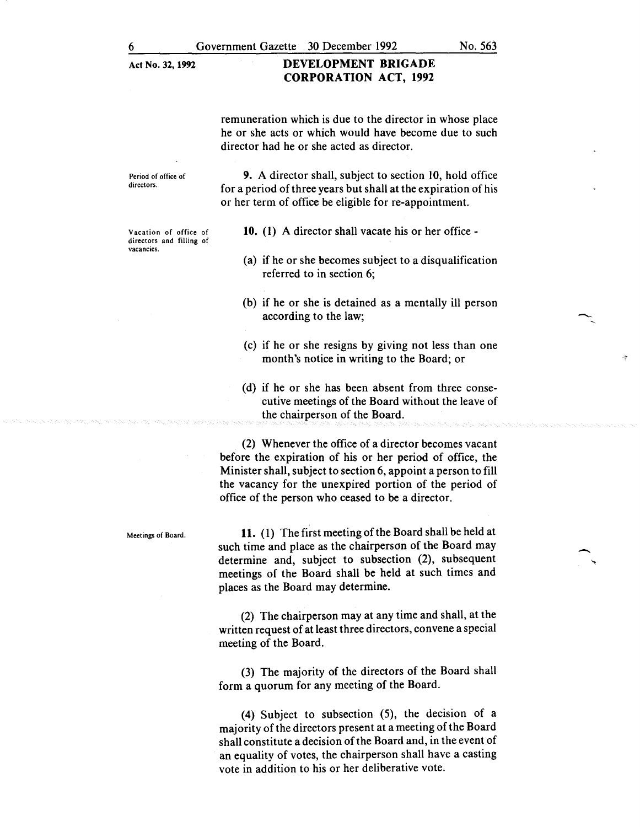#### DEVELOPMENT BRIGADE CORPORATION ACT, 1992

remuneration which is due to the director in whose place he or she acts or which would have become due to such director had he or she acted as director.

Period of office of directors.

Vacation of office of directors and filling of vacancies.

9. A director shall, subject to section 10, hold office for a period of three years but shall at the expiration of his or her term of office be eligible for re-appointment.

- 10. (1) A director shall vacate his or her office-
- (a) if he or she becomes subject to a disqualification referred to in section 6;
- (b) if he or she is detained as a mentally ill person according to the law;
- (c) if he or she resigns by giving not less than one month's notice in writing to the Board; or
- (d) if he or she has been absent from three consecutive meetings of the Board without the leave of the chairperson of the Board.

(2) Whenever the office of a director becomes vacant before the expiration of his or her period of office, the Minister shall, subject to section 6, appoint a person to fill the vacancy for the unexpired portion of the period of office of the person who ceased to be a director.

Meetings of Board.

11. ( 1) The first meeting of the Board shall be held at such time and place as the chairperson of the Board may determine and, subject to subsection (2), subsequent meetings of the Board shall be held at such times and places as the Board may determine.

(2) The chairperson may at any time and shall, at the written request of at least three directors, convene a special meeting of the Board.

(3) The majority of the directors of the Board shall form a quorum for any meeting of the Board.

(4) Subject to subsection (5), the decision of a majority of the directors present at a meeting of the Board shall constitute a decision of the Board and, in the event of an equality of votes, the chairperson shall have a casting vote in addition to his or her deliberative vote.

 $\overline{\phantom{a}}$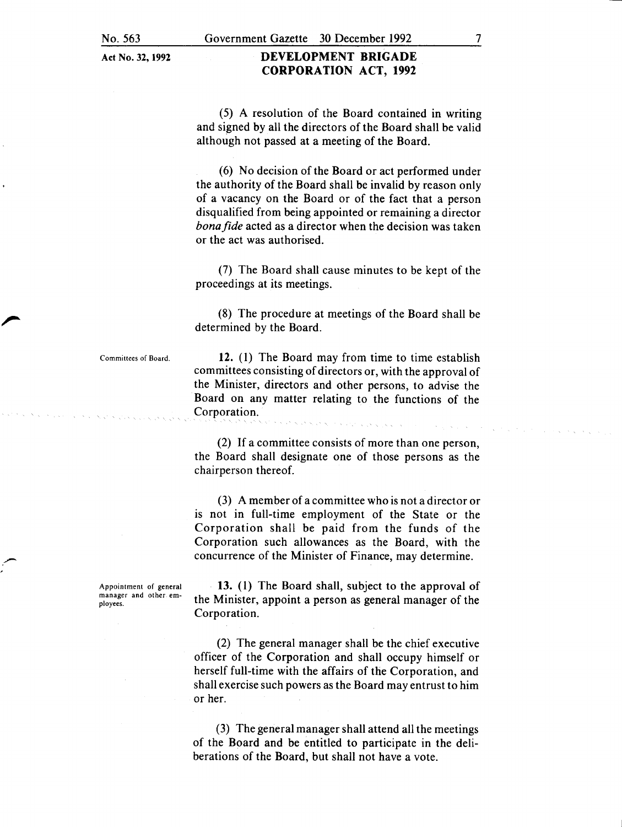### DEVELOPMENT BRIGADE CORPORATION ACT, 1992

(5) A resolution of the Board contained in writing and signed by all the directors of the Board shall be valid although not passed at a meeting of the Board.

(6) No decision of the Board or act performed under the authority of the Board shall be invalid by reason only of a vacancy on the Board or of the fact that a person disqualified from being appointed or remaining a director *bonafide* acted as a director when the decision was taken or the act was authorised.

(7) The Board shall cause minutes to be kept of the proceedings at its meetings.

(8) The procedure at meetings of the Board shall be determined by the Board.

Committees of Board.

12. (I) The Board may from time to time establish committees consisting of directors or, with the approval of the Minister, directors and other persons, to advise the Board on any matter relating to the functions of the Corporation.

(2) If a committee consists of more than one person, the Board shall designate one of those persons as the chairperson thereof.

(3) A member of a committee who is not a director or is not in full-time employment of the State or the Corporation shall be paid from the funds of the Corporation such allowances as the Board, with the concurrence of the Minister of Finance, may determine.

Appointment of general manager and other employees.

13. (1) The Board shall, subject to the approval of the Minister, appoint a person as general manager of the Corporation.

(2) The general manager shall be the chief executive officer of the Corporation and shall occupy himself or herself full-time with the affairs of the Corporation, and shall exercise such powers as the Board may entrust to him or her.

(3) The general manager shall attend all the meetings of the Board and be entitled to participate in the deliberations of the Board, but shall not have a vote.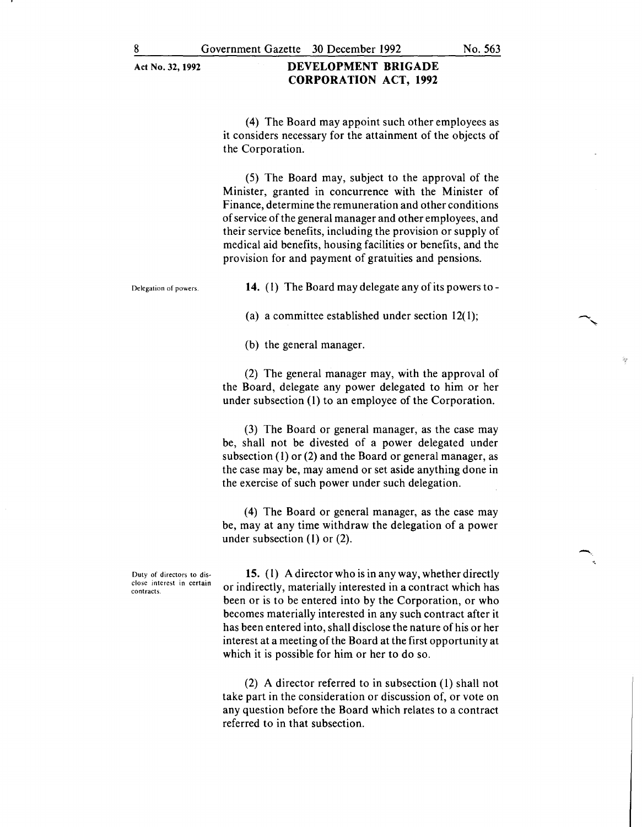#### **DEVELOPMENT BRIGADE CORPORATION ACT, 1992**

(4) The Board may appoint such other employees as it considers necessary for the attainment of the objects of the Corporation.

(5) The Board may, subject to the approval of the Minister, granted in concurrence with the Minister of Finance, determine the remuneration and other conditions of service of the general manager and other employees, and their service benefits, including the provision or supply of medical aid benefits, housing facilities or benefits, and the provision for and payment of gratuities and pensions.

Delegation of powers.

**14.** (I) The Board may delegate any of its powers to-

(a) a committee established under section  $12(1)$ ;

(b) the general manager.

(2) The general manager may, with the approval of the Board, delegate any power delegated to him or her under subsection (1) to an employee of the Corporation.

(3) The Board or general manager, as the case may be, shall not be divested of a power delegated under subsection (I) or (2) and the Board or general manager, as the case may be, may amend or set aside anything done in the exercise of such power under such delegation.

(4) The Board or general manager, as the case may be, may at any time withdraw the delegation of a power under subsection (1) or (2).

Duty of directors to dis**close interest in certain**  contracts.

**15.** (I) A director who is in any way, whether directly or indirectly, materially interested in a contract which has been or is to be entered into by the Corporation, or who becomes materially interested in any such contract after it has been entered into, shall disclose the nature of his or her interest at a meeting of the Board at the first opportunity at which it is possible for him or her to do so.

(2) A director referred to in subsection (I) shall not take part in the consideration or discussion of, or vote on any question before the Board which relates to a contract referred to in that subsection.

 $\overline{\phantom{a}}$ 

 $\hat{c}^{\mu}_{\mu}$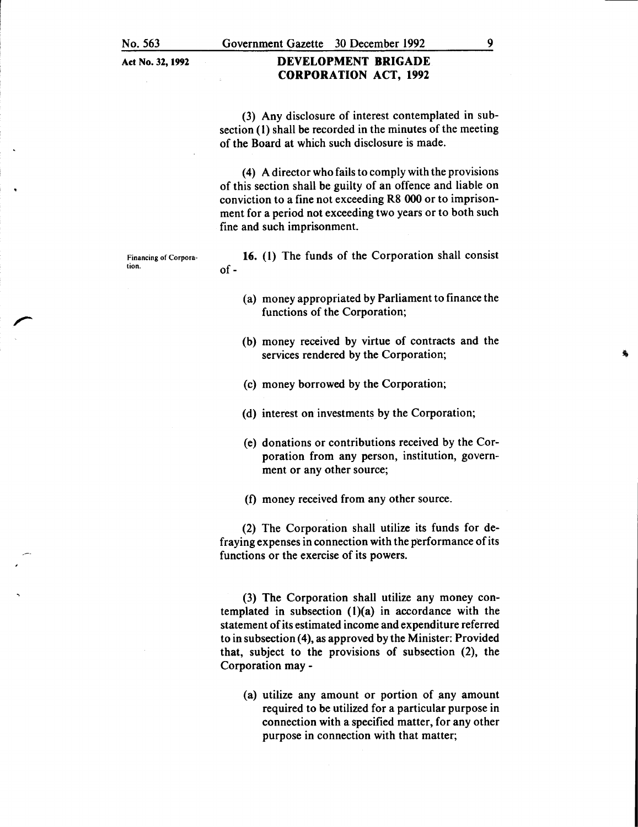### DEVELOPMENT BRIGADE CORPORATION ACT, 1992

(3) Any disclosure of interest contemplated in subsection (I) shall be recorded in the minutes of the meeting of the Board at which such disclosure is made.

( 4) A director who fails to comply with the provisions of this section shall be guilty of an offence and liable on conviction to a fine not exceeding R8 000 or to imprisonment for a period not exceeding two years or to both such fine and such imprisonment.

Financing of Corporation.

of-16. (I) The funds of the Corporation shall consist

- (a) money appropriated by Parliament to finance the functions of the Corporation;
- (b) money received by virtue of contracts and the services rendered by the Corporation;
- (c) money borrowed by the Corporation;
- (d) interest on investments by the Corporation;
- (e) donations or contributions received by the Corporation from any person, institution, government or any other source;
- (f) money received from any other source.

(2) The Corporation shall utilize its funds for defraying expenses in connection with the performance of its functions or the exercise of its powers.

(3) The Corporation shall utilize any money contemplated in subsection  $(1)(a)$  in accordance with the statement of its estimated income and expenditure referred to in subsection (4), as approved by the Minister: Provided that, subject to the provisions of subsection (2), the Corporation may -

(a) utilize any amount or portion of any amount required to be utilized for a particular purpose in connection with a specified matter, for any other purpose in connection with that matter;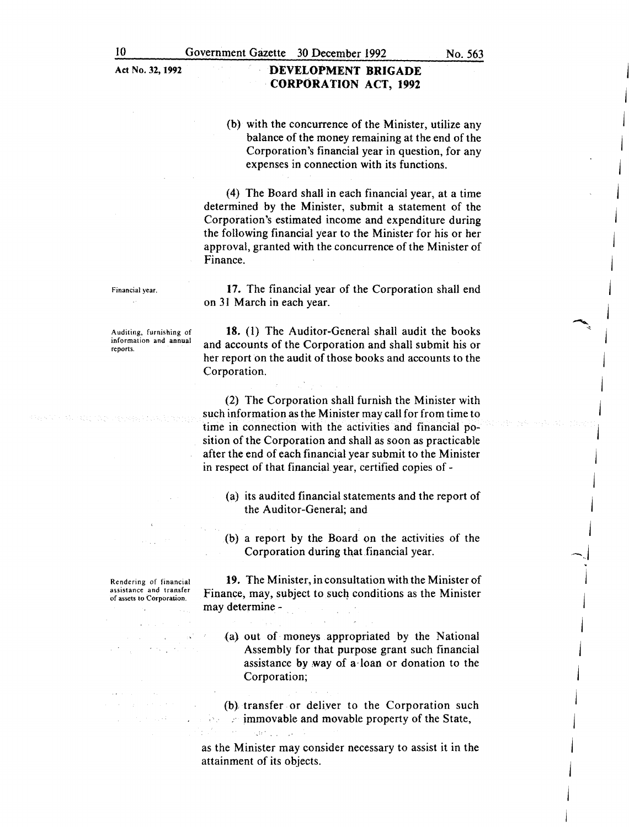## Act No. 32, 1992 **DEVELOPMENT BRIGADE** CORPORATION ACT, 1992

(b) with the concurrence of the Minister, utilize any balance of the money remaining at the end of the Corporation's financial year in question, for any expenses in connection with its functions.

(4) The Board shall in each financial year, at a time determined by the Minister, submit a statement of the Corporation's estimated income and expenditure during the following financial year to the Minister for his or her approval, granted with the concurrence of the Minister of Finance.

Financial year.  $\sim$ 

17. The financial year of the Corporation shall end on 31 March in each year.

Auditing, furnishing of information and annual reports.

Rendering of financial assistance and transfer of assets to Corporation.

and accounts of the Corporation and shall submit his or her report on the audit of those books and accounts to the Corporation.

18. (I) The Auditor-General shall audit the books

(2) The Corporation shall furnish the Minister with such information as the Minister may call for from time to time in connection with the activities and financial position of the Corporation and shall as soon as practicable after the end of each financial year submit to the Minister in respect of that financial year, certified copies of -

- (a) its audited financial statements and the report of the Auditor-General; and
- (b) a report by the Board on the activities of the Corporation during that financial year.

19. The Minister, in consultation with the Minister of Finance, may, subject to such conditions as the Minister may determine -

- (a) out of moneys appropriated by the National Assembly for that purpose grant such financial assistance by way of a· loan or donation to the Corporation;
- (b} transfer or deliver to the Corporation such  $\therefore$  immovable and movable property of the State,

j

~  $\mathcal{L}_{\mathcal{A}}$ 

 $\sim$ 

j

j

j

j

j

j

 $\mathbf{I}$ 

j

j

j

j

j

as the Minister may consider necessary to assist it in the attainment of its objects.

 $\langle \varphi | \varphi \rangle$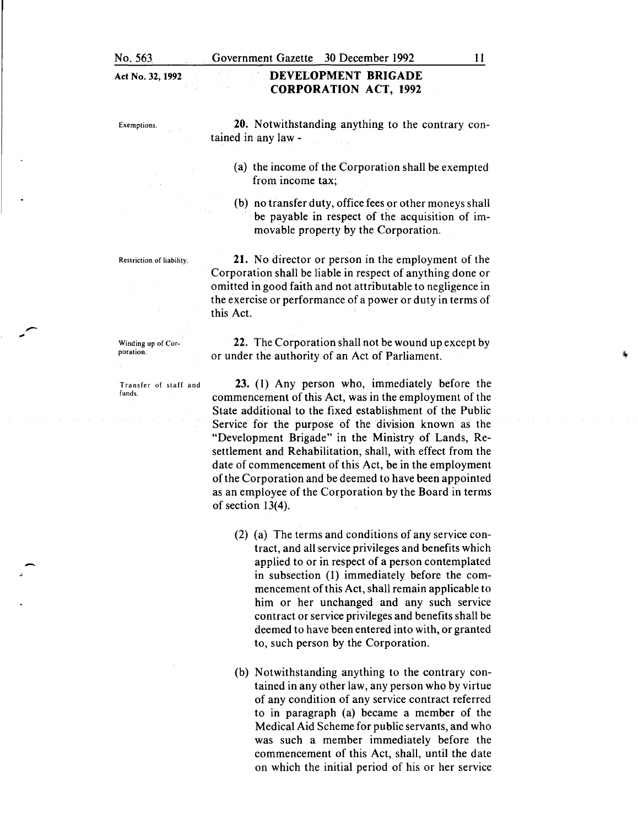No. 563.

#### DEVELOPMENT BRIGADE CORPORATION ACT, 1992

Exemptions.

20. Notwithstanding anything to the contrary contained in any law -

- (a) the income of the Corporation shall be exempted from income tax;
- (b) no transfer duty, office fees or other moneys shall be payable in respect of the acquisition of immovable property by the Corporation.

Restriction of liability.

21. No director or person in the employment of the Corporation shall be liable in respect of anything done or omitted in good faith and not attributable to negligence in the exercise or performance of a power or duty in terms of this Act.

Winding up of Corporation.

Transfer of staff and funds.

22. The Corporation shall not be wound up except by or under the authority of an Act of Parliament.

23. (1) Any person who, immediately before the commencement of this Act, was in the employment of the State additional to the fixed establishment of the Public Service for the purpose of the division known as the "Development Brigade" in the Ministry of Lands, Resettlement and Rehabilitation, shall, with effect from the date of commencement of this Act, be in the employment of the Corporation and be deemed to have been appointed as an employee of the Corporation by the Board in terms of section 13(4).

- (2) (a) The terms and conditions of any service contract, and all service privileges and benefits which applied to or in respect of a person contemplated in subsection (1) immediately before the commencement of this Act, shall remain applicable to him or her unchanged and any such service contract or service privileges and benefits shall be deemed to have been entered into with, or granted to, such person by the Corporation.
- (b) Notwithstanding anything to the contrary contained in any other law, any person who by virtue of any condition of any service contract referred to in paragraph (a) became a member of the Medical Aid Scheme for public servants, and who was such a member immediately before the commencement of this Act, shall, until the date on which the initial period of his or her service